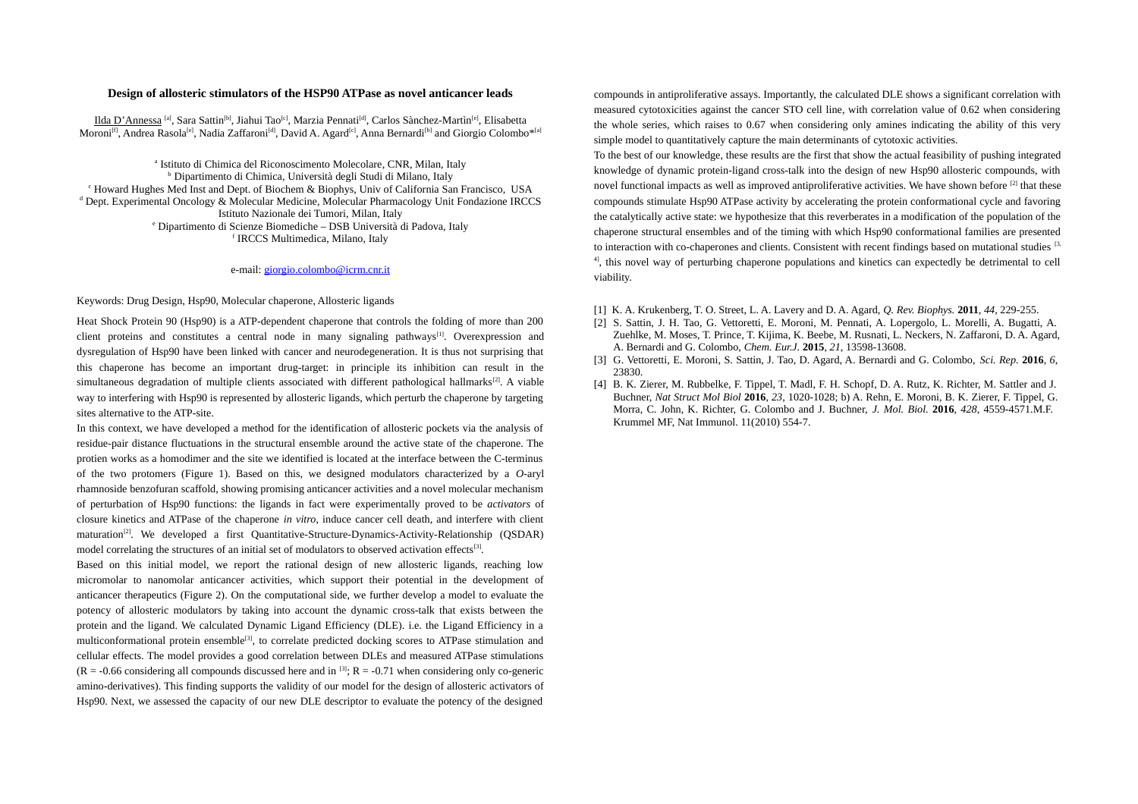## **Design of allosteric stimulators of the HSP90 ATPase as novel anticancer leads**

Ilda D'Annessa <sup>[a]</sup>, Sara Sattin<sup>[b]</sup>, Jiahui Tao<sup>[c]</sup>, Marzia Pennati<sup>[d]</sup>, Carlos Sànchez-Martìn<sup>[e]</sup>, Elisabetta Moroni<sup>[f]</sup>, Andrea Rasola<sup>[e]</sup>, Nadia Zaffaroni<sup>[d]</sup>, David A. Agard<sup>[c]</sup>, Anna Bernardi<sup>[b]</sup> and Giorgio Colombo\*<sup>[a]</sup>

<sup>a</sup> Istituto di Chimica del Riconoscimento Molecolare, CNR, Milan, Italy <sup>b</sup> Dipartimento di Chimica, Università degli Studi di Milano, Italy <sup>c</sup> Howard Hughes Med Inst and Dept. of Biochem & Biophys, Univ of California San Francisco, USA d Dept. Experimental Oncology & Molecular Medicine, Molecular Pharmacology Unit Fondazione IRCCS Istituto Nazionale dei Tumori, Milan, Italy e Dipartimento di Scienze Biomediche – DSB Università di Padova, Italy f IRCCS Multimedica, Milano, Italy

## e-mail: [giorgio.colombo@icrm.cnr.it](mailto:giorgio.colombo@icrm.cnr.it)

## Keywords: Drug Design, Hsp90, Molecular chaperone, Allosteric ligands

Heat Shock Protein 90 (Hsp90) is a ATP-dependent chaperone that controls the folding of more than 200 client proteins and constitutes a central node in many signaling pathways $^{[1]}$ . Overexpression and dysregulation of Hsp90 have been linked with cancer and neurodegeneration. It is thus not surprising that this chaperone has become an important drug-target: in principle its inhibition can result in the simultaneous degradation of multiple clients associated with different pathological hallmarks<sup>[2]</sup>. A viable way to interfering with Hsp90 is represented by allosteric ligands, which perturb the chaperone by targeting sites alternative to the ATP-site.

In this context, we have developed a method for the identification of allosteric pockets via the analysis of residue-pair distance fluctuations in the structural ensemble around the active state of the chaperone. The protien works as a homodimer and the site we identified is located at the interface between the C-terminus of the two protomers (Figure 1). Based on this, we designed modulators characterized by a *O*-aryl rhamnoside benzofuran scaffold, showing promising anticancer activities and a novel molecular mechanism of perturbation of Hsp90 functions: the ligands in fact were experimentally proved to be *activators* of closure kinetics and ATPase of the chaperone *in vitro*, induce cancer cell death, and interfere with client maturation[2]. We developed a first Quantitative-Structure-Dynamics-Activity-Relationship (QSDAR) model correlating the structures of an initial set of modulators to observed activation effects<sup>[3]</sup>.

Based on this initial model, we report the rational design of new allosteric ligands, reaching low micromolar to nanomolar anticancer activities, which support their potential in the development of anticancer therapeutics (Figure 2). On the computational side, we further develop a model to evaluate the potency of allosteric modulators by taking into account the dynamic cross-talk that exists between the protein and the ligand. We calculated Dynamic Ligand Efficiency (DLE). i.e. the Ligand Efficiency in a multiconformational protein ensemble<sup>[3]</sup>, to correlate predicted docking scores to ATPase stimulation and cellular effects. The model provides a good correlation between DLEs and measured ATPase stimulations  $(R = -0.66$  considering all compounds discussed here and in <sup>[3]</sup>;  $R = -0.71$  when considering only co-generic amino-derivatives). This finding supports the validity of our model for the design of allosteric activators of Hsp90. Next, we assessed the capacity of our new DLE descriptor to evaluate the potency of the designed

compounds in antiproliferative assays. Importantly, the calculated DLE shows a significant correlation with measured cytotoxicities against the cancer STO cell line, with correlation value of 0.62 when considering the whole series, which raises to 0.67 when considering only amines indicating the ability of this very simple model to quantitatively capture the main determinants of cytotoxic activities.

To the best of our knowledge, these results are the first that show the actual feasibility of pushing integrated knowledge of dynamic protein-ligand cross-talk into the design of new Hsp90 allosteric compounds, with novel functional impacts as well as improved antiproliferative activities. We have shown before <sup>[2]</sup> that these compounds stimulate Hsp90 ATPase activity by accelerating the protein conformational cycle and favoring the catalytically active state: we hypothesize that this reverberates in a modification of the population of the chaperone structural ensembles and of the timing with which Hsp90 conformational families are presented to interaction with co-chaperones and clients. Consistent with recent findings based on mutational studies [3, <sup>4]</sup>, this novel way of perturbing chaperone populations and kinetics can expectedly be detrimental to cell viability.

- [1] K. A. Krukenberg, T. O. Street, L. A. Lavery and D. A. Agard, *Q. Rev. Biophys.* **2011**, *44*, 229-255.
- [2] S. Sattin, J. H. Tao, G. Vettoretti, E. Moroni, M. Pennati, A. Lopergolo, L. Morelli, A. Bugatti, A. Zuehlke, M. Moses, T. Prince, T. Kijima, K. Beebe, M. Rusnati, L. Neckers, N. Zaffaroni, D. A. Agard, A. Bernardi and G. Colombo, *Chem. Eur.J.* **2015**, *21*, 13598-13608.
- [3] G. Vettoretti, E. Moroni, S. Sattin, J. Tao, D. Agard, A. Bernardi and G. Colombo, *Sci. Rep.* **2016**, *6*, 23830.
- [4] B. K. Zierer, M. Rubbelke, F. Tippel, T. Madl, F. H. Schopf, D. A. Rutz, K. Richter, M. Sattler and J. Buchner, *Nat Struct Mol Biol* **2016**, *23*, 1020-1028; b) A. Rehn, E. Moroni, B. K. Zierer, F. Tippel, G. Morra, C. John, K. Richter, G. Colombo and J. Buchner, *J. Mol. Biol.* **2016**, *428*, 4559-4571.M.F. Krummel MF, Nat Immunol. 11(2010) 554-7.